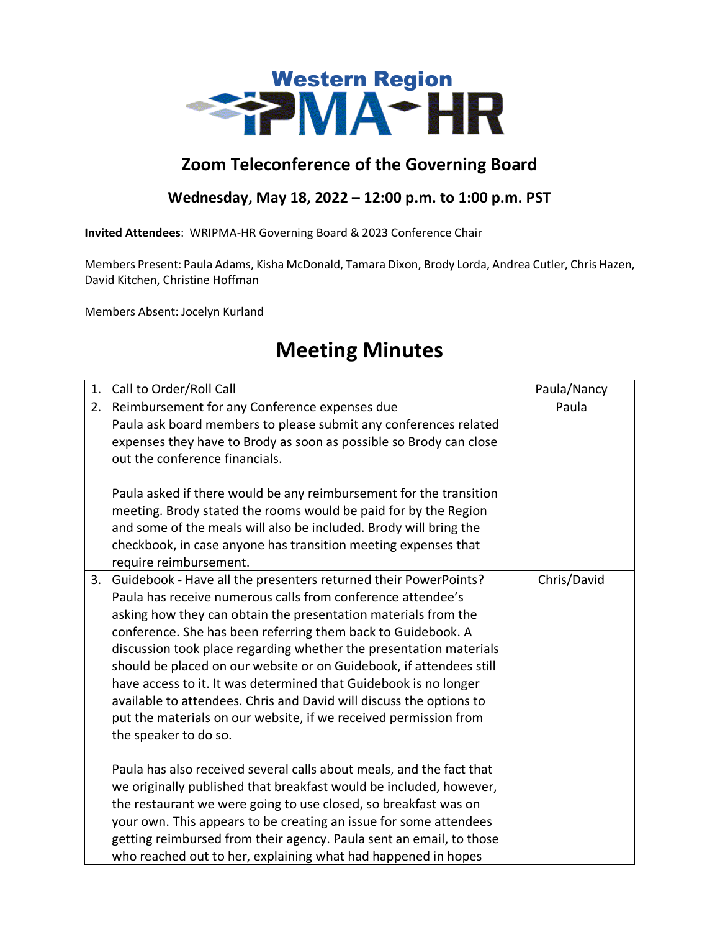

## **Zoom Teleconference of the Governing Board**

## **Wednesday, May 18, 2022 – 12:00 p.m. to 1:00 p.m. PST**

**Invited Attendees**: WRIPMA-HR Governing Board & 2023 Conference Chair

Members Present: Paula Adams, Kisha McDonald, Tamara Dixon, Brody Lorda, Andrea Cutler, Chris Hazen, David Kitchen, Christine Hoffman

Members Absent: Jocelyn Kurland

## **Meeting Minutes**

| 1. | Call to Order/Roll Call                                                                                                                                                                                                                                                                                                                                                                                                                                                                                                                                                                                                                               | Paula/Nancy |
|----|-------------------------------------------------------------------------------------------------------------------------------------------------------------------------------------------------------------------------------------------------------------------------------------------------------------------------------------------------------------------------------------------------------------------------------------------------------------------------------------------------------------------------------------------------------------------------------------------------------------------------------------------------------|-------------|
| 2. | Reimbursement for any Conference expenses due<br>Paula ask board members to please submit any conferences related<br>expenses they have to Brody as soon as possible so Brody can close<br>out the conference financials.<br>Paula asked if there would be any reimbursement for the transition<br>meeting. Brody stated the rooms would be paid for by the Region<br>and some of the meals will also be included. Brody will bring the<br>checkbook, in case anyone has transition meeting expenses that<br>require reimbursement.                                                                                                                   | Paula       |
| 3. | Guidebook - Have all the presenters returned their PowerPoints?<br>Paula has receive numerous calls from conference attendee's<br>asking how they can obtain the presentation materials from the<br>conference. She has been referring them back to Guidebook. A<br>discussion took place regarding whether the presentation materials<br>should be placed on our website or on Guidebook, if attendees still<br>have access to it. It was determined that Guidebook is no longer<br>available to attendees. Chris and David will discuss the options to<br>put the materials on our website, if we received permission from<br>the speaker to do so. | Chris/David |
|    | Paula has also received several calls about meals, and the fact that<br>we originally published that breakfast would be included, however,<br>the restaurant we were going to use closed, so breakfast was on<br>your own. This appears to be creating an issue for some attendees<br>getting reimbursed from their agency. Paula sent an email, to those<br>who reached out to her, explaining what had happened in hopes                                                                                                                                                                                                                            |             |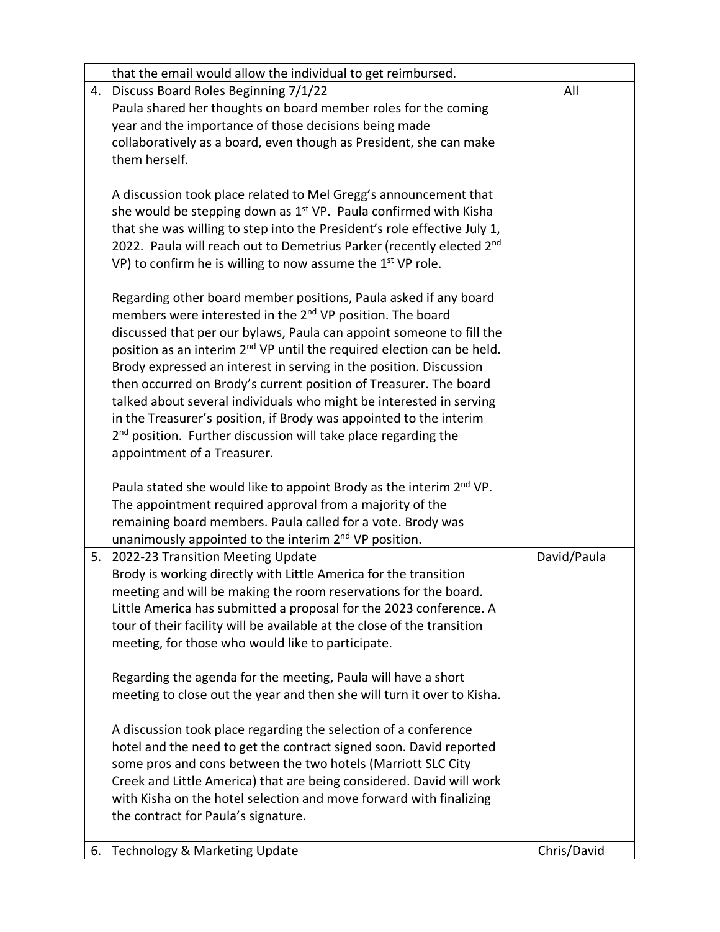|    | that the email would allow the individual to get reimbursed.                       |             |
|----|------------------------------------------------------------------------------------|-------------|
| 4. | Discuss Board Roles Beginning 7/1/22                                               | All         |
|    | Paula shared her thoughts on board member roles for the coming                     |             |
|    | year and the importance of those decisions being made                              |             |
|    | collaboratively as a board, even though as President, she can make                 |             |
|    | them herself.                                                                      |             |
|    |                                                                                    |             |
|    | A discussion took place related to Mel Gregg's announcement that                   |             |
|    | she would be stepping down as $1st$ VP. Paula confirmed with Kisha                 |             |
|    | that she was willing to step into the President's role effective July 1,           |             |
|    | 2022. Paula will reach out to Demetrius Parker (recently elected 2 <sup>nd</sup>   |             |
|    | VP) to confirm he is willing to now assume the $1st$ VP role.                      |             |
|    |                                                                                    |             |
|    | Regarding other board member positions, Paula asked if any board                   |             |
|    | members were interested in the 2 <sup>nd</sup> VP position. The board              |             |
|    | discussed that per our bylaws, Paula can appoint someone to fill the               |             |
|    | position as an interim 2 <sup>nd</sup> VP until the required election can be held. |             |
|    | Brody expressed an interest in serving in the position. Discussion                 |             |
|    | then occurred on Brody's current position of Treasurer. The board                  |             |
|    | talked about several individuals who might be interested in serving                |             |
|    | in the Treasurer's position, if Brody was appointed to the interim                 |             |
|    | $2nd$ position. Further discussion will take place regarding the                   |             |
|    | appointment of a Treasurer.                                                        |             |
|    |                                                                                    |             |
|    | Paula stated she would like to appoint Brody as the interim 2 <sup>nd</sup> VP.    |             |
|    | The appointment required approval from a majority of the                           |             |
|    | remaining board members. Paula called for a vote. Brody was                        |             |
|    | unanimously appointed to the interim 2 <sup>nd</sup> VP position.                  |             |
|    | 5. 2022-23 Transition Meeting Update                                               | David/Paula |
|    | Brody is working directly with Little America for the transition                   |             |
|    | meeting and will be making the room reservations for the board.                    |             |
|    | Little America has submitted a proposal for the 2023 conference. A                 |             |
|    | tour of their facility will be available at the close of the transition            |             |
|    | meeting, for those who would like to participate.                                  |             |
|    |                                                                                    |             |
|    | Regarding the agenda for the meeting, Paula will have a short                      |             |
|    | meeting to close out the year and then she will turn it over to Kisha.             |             |
|    |                                                                                    |             |
|    | A discussion took place regarding the selection of a conference                    |             |
|    | hotel and the need to get the contract signed soon. David reported                 |             |
|    | some pros and cons between the two hotels (Marriott SLC City                       |             |
|    | Creek and Little America) that are being considered. David will work               |             |
|    | with Kisha on the hotel selection and move forward with finalizing                 |             |
|    | the contract for Paula's signature.                                                |             |
|    |                                                                                    |             |
| 6. | Technology & Marketing Update                                                      | Chris/David |